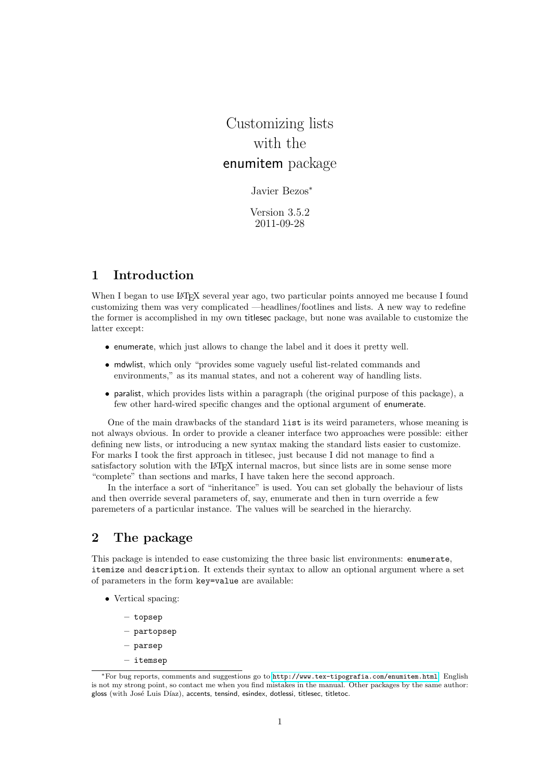# Customizing lists with the enumitem package

## Javier Bezos<sup>∗</sup>

Version 3.5.2 2011-09-28

# 1 Introduction

When I began to use LATEX several year ago, two particular points annoyed me because I found customizing them was very complicated —headlines/footlines and lists. A new way to redefine the former is accomplished in my own titlesec package, but none was available to customize the latter except:

- enumerate, which just allows to change the label and it does it pretty well.
- mdwlist, which only "provides some vaguely useful list-related commands and environments," as its manual states, and not a coherent way of handling lists.
- paralist, which provides lists within a paragraph (the original purpose of this package), a few other hard-wired specific changes and the optional argument of enumerate.

One of the main drawbacks of the standard list is its weird parameters, whose meaning is not always obvious. In order to provide a cleaner interface two approaches were possible: either defining new lists, or introducing a new syntax making the standard lists easier to customize. For marks I took the first approach in titlesec, just because I did not manage to find a satisfactory solution with the LAT<sub>EX</sub> internal macros, but since lists are in some sense more "complete" than sections and marks, I have taken here the second approach.

In the interface a sort of "inheritance" is used. You can set globally the behaviour of lists and then override several parameters of, say, enumerate and then in turn override a few paremeters of a particular instance. The values will be searched in the hierarchy.

# 2 The package

This package is intended to ease customizing the three basic list environments: enumerate, itemize and description. It extends their syntax to allow an optional argument where a set of parameters in the form key=value are available:

- Vertical spacing:
	- topsep
	- partopsep
	- parsep
	- itemsep

<sup>∗</sup>For bug reports, comments and suggestions go to <http://www.tex-tipografia.com/enumitem.html>. English is not my strong point, so contact me when you find mistakes in the manual. Other packages by the same author: gloss (with José Luis Díaz), accents, tensind, esindex, dotlessi, titlesec, titletoc.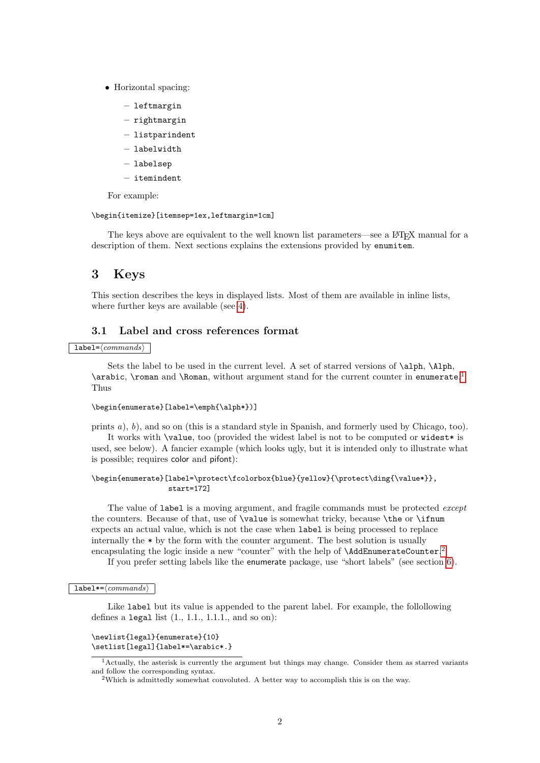- Horizontal spacing:
	- leftmargin
	- rightmargin
	- listparindent
	- labelwidth
	- labelsep
	- itemindent

For example:

#### \begin{itemize}[itemsep=1ex,leftmargin=1cm]

The keys above are equivalent to the well known list parameters—see a LATEX manual for a description of them. Next sections explains the extensions provided by enumitem.

# 3 Keys

This section describes the keys in displayed lists. Most of them are available in inline lists, where further keys are available (see [4\)](#page-7-0).

## 3.1 Label and cross references format

#### $label={\langle commands\rangle}$

Sets the label to be used in the current level. A set of starred versions of \alph, \Alph, \arabic, \roman and \Roman, without argument stand for the current counter in enumerate. [1](#page-1-0) Thus

#### \begin{enumerate}[label=\emph{\alph\*})]

prints a), b), and so on (this is a standard style in Spanish, and formerly used by Chicago, too). It works with \value, too (provided the widest label is not to be computed or widest\* is used, see below). A fancier example (which looks ugly, but it is intended only to illustrate what is possible; requires color and pifont):

#### \begin{enumerate}[label=\protect\fcolorbox{blue}{yellow}{\protect\ding{\value\*}}, start=172]

The value of label is a moving argument, and fragile commands must be protected *except* the counters. Because of that, use of \value is somewhat tricky, because \the or \ifnum expects an actual value, which is not the case when label is being processed to replace internally the  $*$  by the form with the counter argument. The best solution is usually encapsulating the logic inside a new "counter" with the help of **\AddEnumerateCounter.**<sup>[2](#page-1-1)</sup>

If you prefer setting labels like the enumerate package, use "short labels" (see section [6\)](#page-9-0).

#### label\*= $\langle commands \rangle$

Like label but its value is appended to the parent label. For example, the follollowing defines a legal list  $(1., 1.1., 1.1.1.,$  and so on):

#### \newlist{legal}{enumerate}{10} \setlist[legal]{label\*=\arabic\*.}

<span id="page-1-0"></span><sup>1</sup>Actually, the asterisk is currently the argument but things may change. Consider them as starred variants and follow the corresponding syntax.

<span id="page-1-1"></span><sup>2</sup>Which is admittedly somewhat convoluted. A better way to accomplish this is on the way.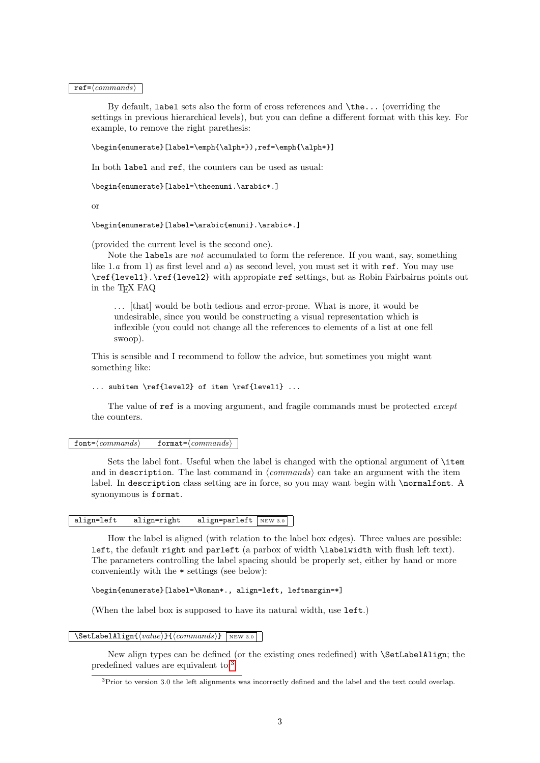$ref=\langle commands \rangle$ 

By default, label sets also the form of cross references and \the... (overriding the settings in previous hierarchical levels), but you can define a different format with this key. For example, to remove the right parethesis:

\begin{enumerate}[label=\emph{\alph\*}),ref=\emph{\alph\*}]

In both label and ref, the counters can be used as usual:

\begin{enumerate}[label=\theenumi.\arabic\*.]

or

\begin{enumerate}[label=\arabic{enumi}.\arabic\*.]

(provided the current level is the second one).

Note the labels are not accumulated to form the reference. If you want, say, something like 1.a from 1) as first level and a) as second level, you must set it with ref. You may use \ref{level1}.\ref{level2} with appropiate ref settings, but as Robin Fairbairns points out in the TEX FAQ

. . . [that] would be both tedious and error-prone. What is more, it would be undesirable, since you would be constructing a visual representation which is inflexible (you could not change all the references to elements of a list at one fell swoop).

This is sensible and I recommend to follow the advice, but sometimes you might want something like:

```
... subitem \ref{level2} of item \ref{level1} ...
```
The value of ref is a moving argument, and fragile commands must be protected *except* the counters.

#### $font = \langle commands \rangle$  format= $\langle commands \rangle$

Sets the label font. Useful when the label is changed with the optional argument of \item and in description. The last command in  $\langle commands \rangle$  can take an argument with the item label. In description class setting are in force, so you may want begin with \normalfont. A synonymous is format.

## align=left align=right align=parleft  $N_{\text{EW 3.0}}$

How the label is aligned (with relation to the label box edges). Three values are possible: left, the default right and parleft (a parbox of width \labelwidth with flush left text). The parameters controlling the label spacing should be properly set, either by hand or more conveniently with the \* settings (see below):

\begin{enumerate}[label=\Roman\*., align=left, leftmargin=\*]

(When the label box is supposed to have its natural width, use left.)

 $\Set{\Set{value}} {\lbrace \mathit{commands} \rbrace \text{new 3.0}}$ 

New align types can be defined (or the existing ones redefined) with \SetLabelAlign; the predefined values are equivalent to:[3](#page-2-0)

<span id="page-2-0"></span><sup>3</sup>Prior to version 3.0 the left alignments was incorrectly defined and the label and the text could overlap.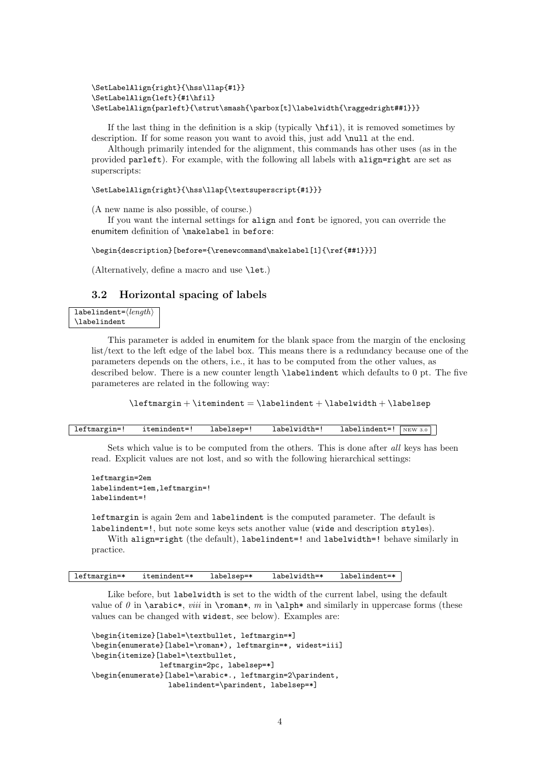```
\SetLabelAlign{right}{\hss\llap{#1}}
\SetLabelAlign{left}{#1\hfil}
\SetLabelAlign{parleft}{\strut\smash{\parbox[t]\labelwidth{\raggedright##1}}}
```
If the last thing in the definition is a skip (typically  $\hbar$ il), it is removed sometimes by description. If for some reason you want to avoid this, just add \null at the end.

Although primarily intended for the alignment, this commands has other uses (as in the provided parleft). For example, with the following all labels with align=right are set as superscripts:

\SetLabelAlign{right}{\hss\llap{\textsuperscript{#1}}}

(A new name is also possible, of course.)

If you want the internal settings for align and font be ignored, you can override the enumitem definition of \makelabel in before:

\begin{description}[before={\renewcommand\makelabel[1]{\ref{##1}}}]

(Alternatively, define a macro and use \let.)

## 3.2 Horizontal spacing of labels

 $labelindent={\langle length \rangle}$ \labelindent

> This parameter is added in enumitem for the blank space from the margin of the enclosing list/text to the left edge of the label box. This means there is a redundancy because one of the parameters depends on the others, i.e., it has to be computed from the other values, as described below. There is a new counter length \labelindent which defaults to 0 pt. The five parameteres are related in the following way:

 $\label{lem:main} $$\leftarrow + \item{independent = \label{min} + \label{min}+ \label{min}$ 

| leftmargin=! | itemindent=! | labelsep=' | labelwidth= | labelindent=! | NEW 3.0 |  |
|--------------|--------------|------------|-------------|---------------|---------|--|
|--------------|--------------|------------|-------------|---------------|---------|--|

Sets which value is to be computed from the others. This is done after all keys has been read. Explicit values are not lost, and so with the following hierarchical settings:

```
leftmargin=2em
labelindent=1em,leftmargin=!
labelindent=!
```
leftmargin is again 2em and labelindent is the computed parameter. The default is labelindent=!, but note some keys sets another value (wide and description styles).

With align=right (the default), labelindent=! and labelwidth=! behave similarly in practice.

leftmargin=\* itemindent=\* labelsep=\* labelwidth=\* labelindent=\*

Like before, but labelwidth is set to the width of the current label, using the default value of  $\theta$  in **\arabic\***, *viii* in **\roman\***, m in **\alph\*** and similarly in uppercase forms (these values can be changed with widest, see below). Examples are:

```
\begin{itemize}[label=\textbullet, leftmargin=*]
\begin{enumerate}[label=\roman*), leftmargin=*, widest=iii]
\begin{itemize}[label=\textbullet,
                leftmargin=2pc, labelsep=*]
\begin{enumerate}[label=\arabic*., leftmargin=2\parindent,
                  labelindent=\parindent, labelsep=*]
```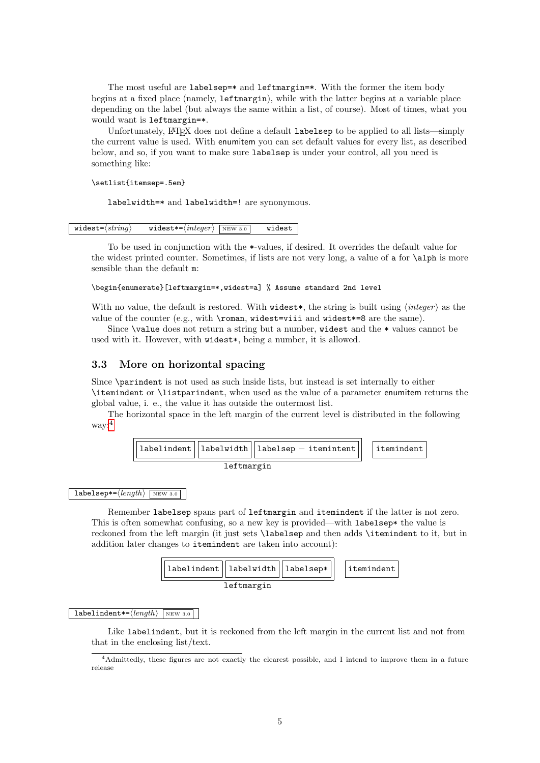The most useful are labelsep=\* and leftmargin=\*. With the former the item body begins at a fixed place (namely, leftmargin), while with the latter begins at a variable place depending on the label (but always the same within a list, of course). Most of times, what you would want is leftmargin=\*.

Unfortunately, LATEX does not define a default labelsep to be applied to all lists—simply the current value is used. With enumitem you can set default values for every list, as described below, and so, if you want to make sure labelsep is under your control, all you need is something like:

\setlist{itemsep=.5em}

labelwidth=\* and labelwidth=! are synonymous.

widest= $\langle string \rangle$  widest\*= $\langle integer \rangle$   $\overline{\text{new 3.0}}$  widest

To be used in conjunction with the \*-values, if desired. It overrides the default value for the widest printed counter. Sometimes, if lists are not very long, a value of a for \alph is more sensible than the default m:

#### \begin{enumerate}[leftmargin=\*,widest=a] % Assume standard 2nd level

With no value, the default is restored. With widest\*, the string is built using  $\langle \text{integer} \rangle$  as the value of the counter (e.g., with \roman, widest=viii and widest\*=8 are the same).

Since \value does not return a string but a number, widest and the \* values cannot be used with it. However, with widest\*, being a number, it is allowed.

## 3.3 More on horizontal spacing

Since \parindent is not used as such inside lists, but instead is set internally to either \itemindent or \listparindent, when used as the value of a parameter enumitem returns the global value, i. e., the value it has outside the outermost list.

The horizontal space in the left margin of the current level is distributed in the following way:[4](#page-4-0)



#### $labelsep* = \langle length \rangle$  NEW 3.0

Remember labelsep spans part of leftmargin and itemindent if the latter is not zero. This is often somewhat confusing, so a new key is provided—with labelsep\* the value is reckoned from the left margin (it just sets \labelsep and then adds \itemindent to it, but in addition later changes to itemindent are taken into account):



#### $labelindent*=\langle \text{length} \rangle$  NEW 3.0

Like labelindent, but it is reckoned from the left margin in the current list and not from that in the enclosing list/text.

<span id="page-4-0"></span><sup>4</sup>Admittedly, these figures are not exactly the clearest possible, and I intend to improve them in a future release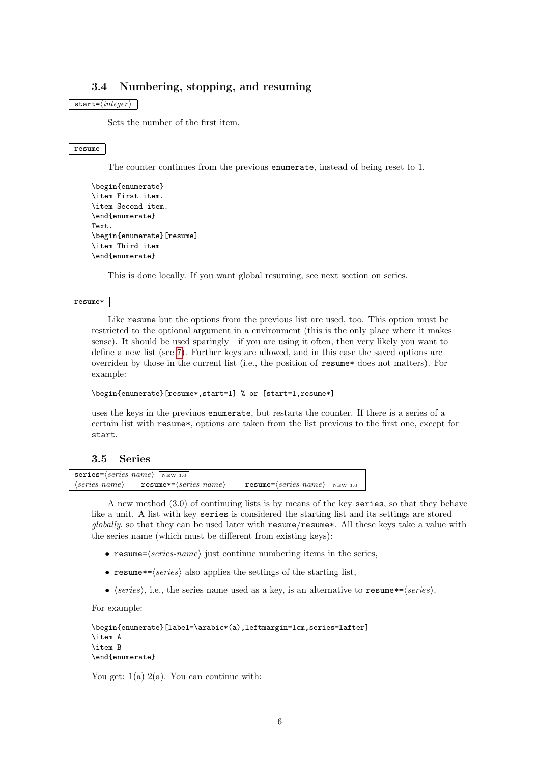# 3.4 Numbering, stopping, and resuming

## $\texttt{start} = \langle \textit{integer} \rangle$

Sets the number of the first item.

#### resume

The counter continues from the previous enumerate, instead of being reset to 1.

```
\begin{enumerate}
\item First item.
\item Second item.
\end{enumerate}
Text.
\begin{enumerate}[resume]
\item Third item
\end{enumerate}
```
This is done locally. If you want global resuming, see next section on series.

#### resume\*

Like resume but the options from the previous list are used, too. This option must be restricted to the optional argument in a environment (this is the only place where it makes sense). It should be used sparingly—if you are using it often, then very likely you want to define a new list (see [7\)](#page-9-1). Further keys are allowed, and in this case the saved options are overriden by those in the current list (i.e., the position of resume\* does not matters). For example:

#### \begin{enumerate}[resume\*,start=1] % or [start=1,resume\*]

uses the keys in the previuos enumerate, but restarts the counter. If there is a series of a certain list with resume\*, options are taken from the list previous to the first one, except for start.

## 3.5 Series

|                               | $series = \langle series - name \rangle$   NEW 3.0 |                                                |  |
|-------------------------------|----------------------------------------------------|------------------------------------------------|--|
| $\langle series-name \rangle$ | ${\tt resume*=}\langle series\text{-}name \rangle$ | $resume = \langle series-name \rangle$ NEW 3.0 |  |

A new method (3.0) of continuing lists is by means of the key series, so that they behave like a unit. A list with key series is considered the starting list and its settings are stored globally, so that they can be used later with  $\mathsf{resume}/\mathsf{resume}^*$ . All these keys take a value with the series name (which must be different from existing keys):

- resume= $\langle series\text{-}name \rangle$  just continue numbering items in the series,
- resume  $\ast = \langle series \rangle$  also applies the settings of the starting list,
- $\langle series \rangle$ , i.e., the series name used as a key, is an alternative to resume\*= $\langle series \rangle$ .

For example:

```
\begin{enumerate}[label=\arabic*(a),leftmargin=1cm,series=lafter]
\item A
\item B
\end{enumerate}
```
You get:  $1(a)$   $2(a)$ . You can continue with: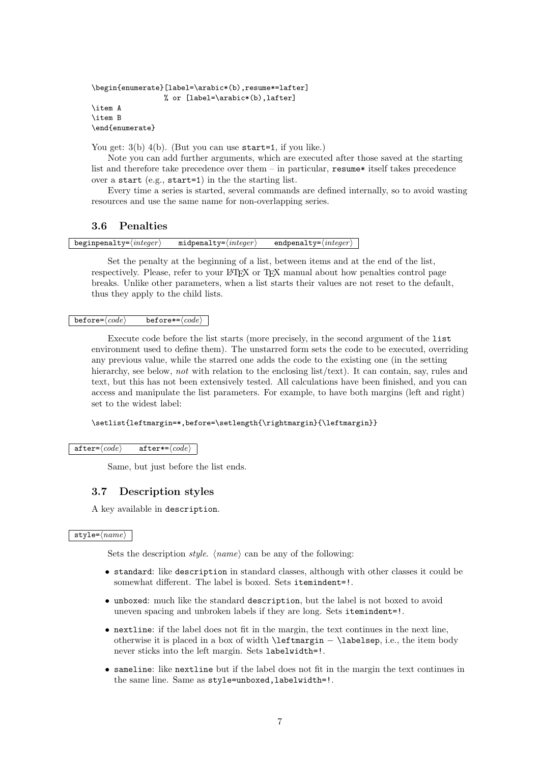```
\begin{enumerate}[label=\arabic*(b),resume*=lafter]
                  % or [label=\arabic*(b),lafter]
\intitem \Delta\item B
\end{enumerate}
```
You get:  $3(b)$  4(b). (But you can use start=1, if you like.)

Note you can add further arguments, which are executed after those saved at the starting list and therefore take precedence over them  $-$  in particular, resume itself takes precedence over a start (e.g., start=1) in the the starting list.

Every time a series is started, several commands are defined internally, so to avoid wasting resources and use the same name for non-overlapping series.

## 3.6 Penalties

| beginpenalty= $\langle \text{integer} \rangle$ | $midpenalty = \langle integer \rangle$ | endpenalty= $\langle \text{integer} \rangle$ |
|------------------------------------------------|----------------------------------------|----------------------------------------------|
|                                                |                                        |                                              |

Set the penalty at the beginning of a list, between items and at the end of the list, respectively. Please, refer to your LATEX or TEX manual about how penalties control page breaks. Unlike other parameters, when a list starts their values are not reset to the default, thus they apply to the child lists.

#### $before=\langle code \rangle$  before\*= $\langle code \rangle$

Execute code before the list starts (more precisely, in the second argument of the list environment used to define them). The unstarred form sets the code to be executed, overriding any previous value, while the starred one adds the code to the existing one (in the setting hierarchy, see below, not with relation to the enclosing list/text). It can contain, say, rules and text, but this has not been extensively tested. All calculations have been finished, and you can access and manipulate the list parameters. For example, to have both margins (left and right) set to the widest label:

## \setlist{leftmargin=\*,before=\setlength{\rightmargin}{\leftmargin}}

#### $\texttt{after}=\langle code \rangle$  after\*= $\langle code \rangle$

Same, but just before the list ends.

## 3.7 Description styles

A key available in description.

#### $style=\langle name \rangle$

Sets the description *style.*  $\langle name \rangle$  can be any of the following:

- standard: like description in standard classes, although with other classes it could be somewhat different. The label is boxed. Sets itemindent=!.
- unboxed: much like the standard description, but the label is not boxed to avoid uneven spacing and unbroken labels if they are long. Sets itemindent=!.
- nextline: if the label does not fit in the margin, the text continues in the next line, otherwise it is placed in a box of width \leftmargin − \labelsep, i.e., the item body never sticks into the left margin. Sets labelwidth=!.
- sameline: like nextline but if the label does not fit in the margin the text continues in the same line. Same as style=unboxed, labelwidth=!.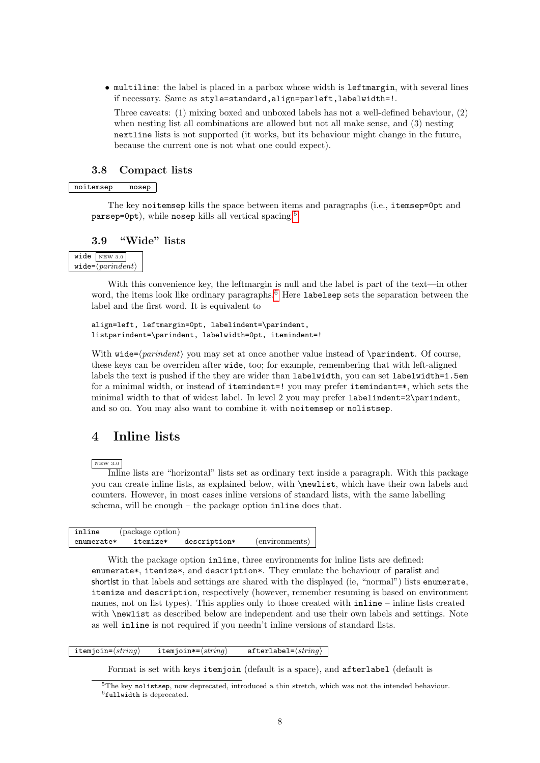• multiline: the label is placed in a parbox whose width is leftmargin, with several lines if necessary. Same as style=standard,align=parleft,labelwidth=!.

Three caveats: (1) mixing boxed and unboxed labels has not a well-defined behaviour, (2) when nesting list all combinations are allowed but not all make sense, and (3) nesting nextline lists is not supported (it works, but its behaviour might change in the future, because the current one is not what one could expect).

## 3.8 Compact lists

## noitemsep nosep

The key noitemsep kills the space between items and paragraphs (i.e., itemsep=0pt and parsep=0pt), while nosep kills all vertical spacing.[5](#page-7-1)

## 3.9 "Wide" lists

|                                                   | $wide \vert$ NEW 3.0 |  |
|---------------------------------------------------|----------------------|--|
| $\mathtt{wide}=\langle \mathit{parindent}\rangle$ |                      |  |

With this convenience key, the leftmargin is null and the label is part of the text—in other word, the items look like ordinary paragraphs.<sup>[6](#page-7-2)</sup> Here labelsep sets the separation between the label and the first word. It is equivalent to

```
align=left, leftmargin=0pt, labelindent=\parindent,
listparindent=\parindent, labelwidth=0pt, itemindent=!
```
With wide= $\{partialent\}$  you may set at once another value instead of  $\partial$  \parindent. Of course, these keys can be overriden after wide, too; for example, remembering that with left-aligned labels the text is pushed if the they are wider than labelwidth, you can set labelwidth=1.5em for a minimal width, or instead of itemindent=! you may prefer itemindent=\*, which sets the minimal width to that of widest label. In level 2 you may prefer labelindent=2\parindent, and so on. You may also want to combine it with noitemsep or nolistsep.

# <span id="page-7-0"></span>4 Inline lists

NEW 3.0

Inline lists are "horizontal" lists set as ordinary text inside a paragraph. With this package you can create inline lists, as explained below, with \newlist, which have their own labels and counters. However, in most cases inline versions of standard lists, with the same labelling schema, will be enough – the package option inline does that.

| inline     | (package option) |              |                |
|------------|------------------|--------------|----------------|
| enumerate* | itemize*         | description* | (environments) |

With the package option inline, three environments for inline lists are defined: enumerate\*, itemize\*, and description\*. They emulate the behaviour of paralist and shortlst in that labels and settings are shared with the displayed (ie, "normal") lists enumerate, itemize and description, respectively (however, remember resuming is based on environment names, not on list types). This applies only to those created with inline – inline lists created with **\newlist** as described below are independent and use their own labels and settings. Note as well inline is not required if you needn't inline versions of standard lists.

## itemjoin= $\langle string \rangle$  itemjoin\*= $\langle string \rangle$  afterlabel= $\langle string \rangle$

Format is set with keys itemjoin (default is a space), and afterlabel (default is

<span id="page-7-2"></span><span id="page-7-1"></span><sup>5</sup>The key nolistsep, now deprecated, introduced a thin stretch, which was not the intended behaviour.  $6$ fullwidth is deprecated.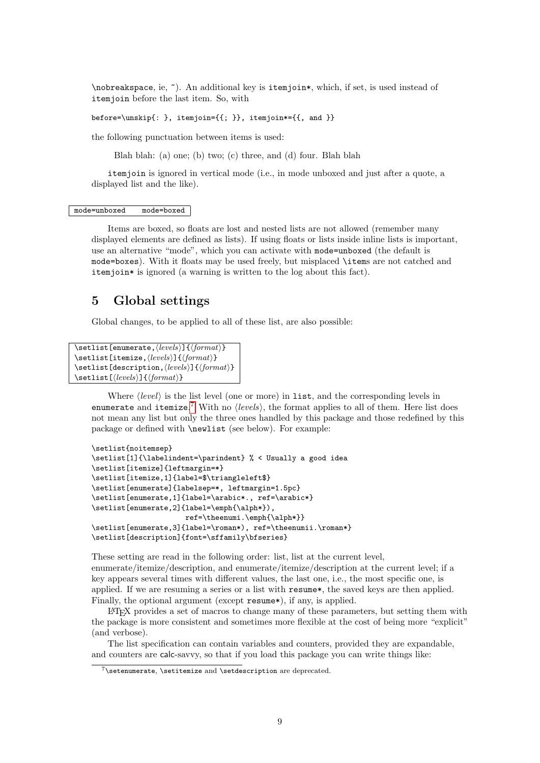\nobreakspace, ie, ~). An additional key is itemjoin\*, which, if set, is used instead of itemjoin before the last item. So, with

before=\unskip{: }, itemjoin={{; }}, itemjoin\*={{, and }}

the following punctuation between items is used:

Blah blah: (a) one; (b) two; (c) three, and (d) four. Blah blah

itemjoin is ignored in vertical mode (i.e., in mode unboxed and just after a quote, a displayed list and the like).

#### mode=unboxed mode=boxed

Items are boxed, so floats are lost and nested lists are not allowed (remember many displayed elements are defined as lists). If using floats or lists inside inline lists is important, use an alternative "mode", which you can activate with mode=unboxed (the default is mode=boxes). With it floats may be used freely, but misplaced \items are not catched and itemjoin\* is ignored (a warning is written to the log about this fact).

## 5 Global settings

Global changes, to be applied to all of these list, are also possible:

```
\setlist[enumerate,\langle levels \rangle]{\langle format \rangle}
\setlist[itemize,\langle levels \rangle]{\langle format \rangle}
\setlist[description, \{levels\}]{\{format\}}
\setlist[\{levels\}]{\{format\}}
```
Where  $\langle level \rangle$  is the list level (one or more) in list, and the corresponding levels in enumerate and itemize.<sup>[7](#page-8-0)</sup> With no  $\langle levels \rangle$ , the format applies to all of them. Here list does not mean any list but only the three ones handled by this package and those redefined by this package or defined with \newlist (see below). For example:

```
\setlist{noitemsep}
\setlist[1]{\labelindent=\parindent} % < Usually a good idea
\setlist[itemize]{leftmargin=*}
\setlist[itemize,1]{label=$\triangleleft$}
\setlist[enumerate]{labelsep=*, leftmargin=1.5pc}
\setlist[enumerate,1]{label=\arabic*., ref=\arabic*}
\setlist[enumerate,2]{label=\emph{\alph*}),
                      ref=\theenumi.\emph{\alph*}}
\setlist[enumerate,3]{label=\roman*), ref=\theenumii.\roman*}
\setlist[description]{font=\sffamily\bfseries}
```
These setting are read in the following order: list, list at the current level, enumerate/itemize/description, and enumerate/itemize/description at the current level; if a key appears several times with different values, the last one, i.e., the most specific one, is applied. If we are resuming a series or a list with resume\*, the saved keys are then applied. Finally, the optional argument (except resume<sup>\*</sup>), if any, is applied.

LATEX provides a set of macros to change many of these parameters, but setting them with the package is more consistent and sometimes more flexible at the cost of being more "explicit" (and verbose).

The list specification can contain variables and counters, provided they are expandable, and counters are calc-savvy, so that if you load this package you can write things like:

<span id="page-8-0"></span> $7\setminus$ setenumerate,  $\setminus$ setitemize and  $\setminus$ setdescription are deprecated.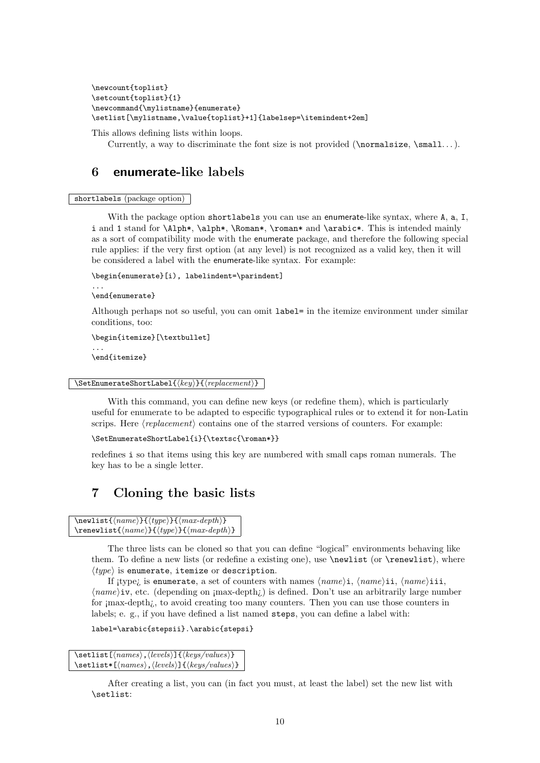```
\newcount{toplist}
\setcount{toplist}{1}
\newcommand{\mylistname}{enumerate}
\setlist[\mylistname,\value{toplist}+1]{labelsep=\itemindent+2em]
```
This allows defining lists within loops.

Currently, a way to discriminate the font size is not provided ( $\normal$ normalsize,  $\small$ small...).

# <span id="page-9-0"></span>6 enumerate-like labels

## shortlabels (package option)

With the package option shortlabels you can use an enumerate-like syntax, where A, a, I, i and 1 stand for \Alph\*, \alph\*, \Roman\*, \roman\* and \arabic\*. This is intended mainly as a sort of compatibility mode with the enumerate package, and therefore the following special rule applies: if the very first option (at any level) is not recognized as a valid key, then it will be considered a label with the enumerate-like syntax. For example:

```
\begin{enumerate}[i), labelindent=\parindent]
```

```
\end{enumerate}
```
...

Although perhaps not so useful, you can omit label= in the itemize environment under similar conditions, too:

```
\begin{itemize}[\textbullet]
...
\end{itemize}
```

```
\Set{key}{\{replacement\}}
```
With this command, you can define new keys (or redefine them), which is particularly useful for enumerate to be adapted to especific typographical rules or to extend it for non-Latin scrips. Here  $\langle replacement\rangle$  contains one of the starred versions of counters. For example:

```
\SetEnumerateShortLabel{i}{\textsc{\roman*}}
```
redefines i so that items using this key are numbered with small caps roman numerals. The key has to be a single letter.

# <span id="page-9-1"></span>7 Cloning the basic lists

```
\text{name}{}_{\langle \text{name}\rangle}{\langle \text{max-depth}\rangle}
\text{name}{}_{\langle name \rangle}{\type}}{\max-depth}}
```
The three lists can be cloned so that you can define "logical" environments behaving like them. To define a new lists (or redefine a existing one), use  $\neq$  liewlist (or  $\text{renewlist}$ ), where  $\langle type \rangle$  is enumerate, itemize or description.

If itype; is enumerate, a set of counters with names  $\langle name \rangle$ i,  $\langle name \rangle$ ii,  $\langle name \rangle$ iii,  $\langle name\rangle$ iv, etc. (depending on ¡max-depth;) is defined. Don't use an arbitrarily large number for *jmax-depth<sub>i</sub>*, to avoid creating too many counters. Then you can use those counters in labels; e. g., if you have defined a list named steps, you can define a label with:

```
label=\arabic{stepsii}.\arabic{stepsi}
```

```
\setminus \setminus \{ \langle names \rangle, \langle levels \rangle \} { \langle keys/values \rangle}
\setminus \setminus \{ \langle names \rangle, \langle levels \rangle \} { \langle keys/values}}
```
After creating a list, you can (in fact you must, at least the label) set the new list with \setlist: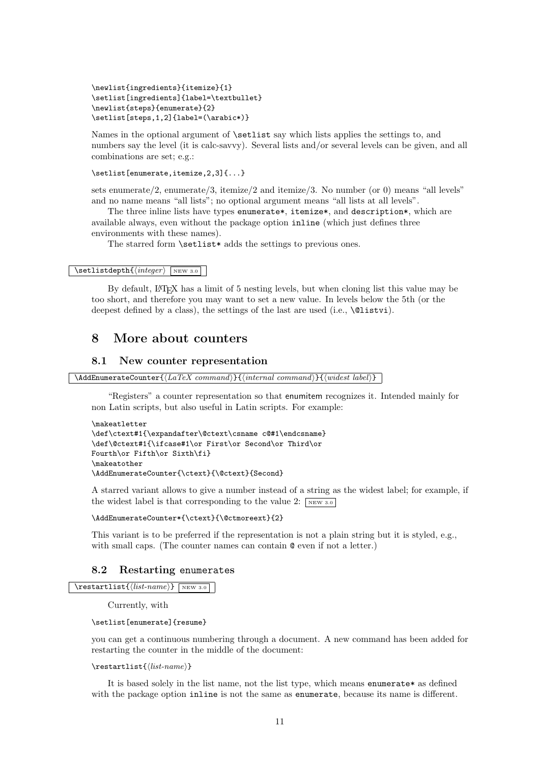```
\newlist{ingredients}{itemize}{1}
\setlist[ingredients]{label=\textbullet}
\newlist{steps}{enumerate}{2}
\setlist[steps,1,2]{label=(\arabic*)}
```
Names in the optional argument of  $\setminus$  setlist say which lists applies the settings to, and numbers say the level (it is calc-savvy). Several lists and/or several levels can be given, and all combinations are set; e.g.:

```
\setlist[enumerate,itemize,2,3]{...}
```
sets enumerate/2, enumerate/3, itemize/2 and itemize/3. No number (or 0) means "all levels" and no name means "all lists"; no optional argument means "all lists at all levels".

The three inline lists have types enumerate\*, itemize\*, and description\*, which are available always, even without the package option inline (which just defines three environments with these names).

The starred form **\setlist\*** adds the settings to previous ones.

#### $\setminus \text{setlistdepth}\{ \langle integer \rangle \ \text{new 3.0}$

By default, L<sup>A</sup>T<sub>E</sub>X has a limit of 5 nesting levels, but when cloning list this value may be too short, and therefore you may want to set a new value. In levels below the 5th (or the deepest defined by a class), the settings of the last are used (i.e., **\@listvi**).

# 8 More about counters

## 8.1 New counter representation

```
\A \text{AddEnumerateCounter} {\text{LaTeX}\ command} {\text{internal command}} {\text{widest label}}
```
"Registers" a counter representation so that enumitem recognizes it. Intended mainly for non Latin scripts, but also useful in Latin scripts. For example:

```
\makeatletter
\def\ctext#1{\expandafter\@ctext\csname c@#1\endcsname}
\def\@ctext#1{\ifcase#1\or First\or Second\or Third\or
Fourth\or Fifth\or Sixth\fi}
\makeatother
\AddEnumerateCounter{\ctext}{\@ctext}{Second}
```
A starred variant allows to give a number instead of a string as the widest label; for example, if the widest label is that corresponding to the value 2:  $\sqrt{\text{new 3.0}}$ 

#### \AddEnumerateCounter\*{\ctext}{\@ctmoreext}{2}

This variant is to be preferred if the representation is not a plain string but it is styled, e.g., with small caps. (The counter names can contain  $\mathbf{\circ}$  even if not a letter.)

## 8.2 Restarting enumerates

```
\text{list}\{\text{list-name}\}\ NEW 3.0
```
Currently, with

#### \setlist[enumerate]{resume}

you can get a continuous numbering through a document. A new command has been added for restarting the counter in the middle of the document:

#### $\text{list}\{list\}$

It is based solely in the list name, not the list type, which means enumerate\* as defined with the package option inline is not the same as enumerate, because its name is different.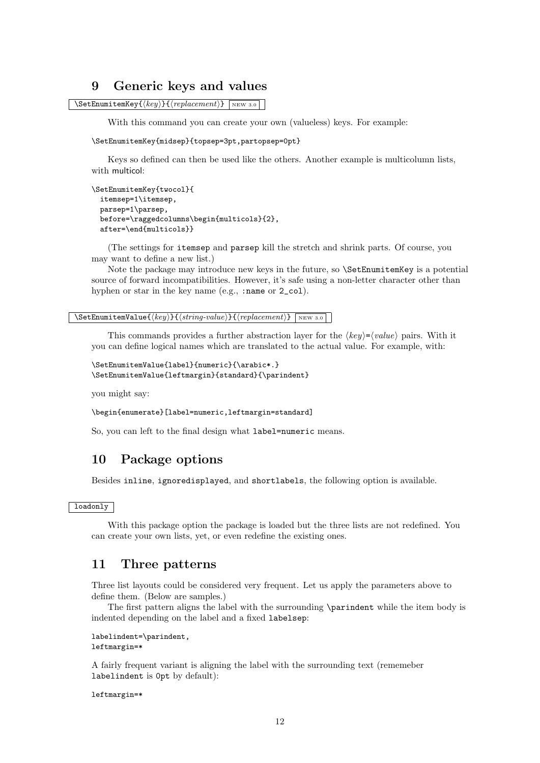# 9 Generic keys and values

 $\setminus$ SetEnumitemKey $\{ \langle key \rangle\}$ { $\langle replacement \rangle$ } NEW 3.0

With this command you can create your own (valueless) keys. For example:

\SetEnumitemKey{midsep}{topsep=3pt,partopsep=0pt}

Keys so defined can then be used like the others. Another example is multicolumn lists, with multicol:

```
\SetEnumitemKey{twocol}{
 itemsep=1\itemsep,
 parsep=1\parsep,
 before=\raggedcolumns\begin{multicols}{2},
 after=\end{multicols}}
```
(The settings for itemsep and parsep kill the stretch and shrink parts. Of course, you may want to define a new list.)

Note the package may introduce new keys in the future, so \SetEnumitemKey is a potential source of forward incompatibilities. However, it's safe using a non-letter character other than hyphen or star in the key name (e.g., :name or 2\_col).

```
\Set{\text{StenumitemValue} {\langle key \rangle}{\langle string-value \rangle}{\langle repeat \rangle}
```
This commands provides a further abstraction layer for the  $\langle key \rangle = \langle value \rangle$  pairs. With it you can define logical names which are translated to the actual value. For example, with:

```
\SetEnumitemValue{label}{numeric}{\arabic*.}
\SetEnumitemValue{leftmargin}{standard}{\parindent}
```
you might say:

\begin{enumerate}[label=numeric,leftmargin=standard]

So, you can left to the final design what label=numeric means.

# 10 Package options

Besides inline, ignoredisplayed, and shortlabels, the following option is available.

## loadonly

With this package option the package is loaded but the three lists are not redefined. You can create your own lists, yet, or even redefine the existing ones.

# 11 Three patterns

Three list layouts could be considered very frequent. Let us apply the parameters above to define them. (Below are samples.)

The first pattern aligns the label with the surrounding \parindent while the item body is indented depending on the label and a fixed labelsep:

```
labelindent=\parindent,
leftmargin=*
```
A fairly frequent variant is aligning the label with the surrounding text (rememeber labelindent is 0pt by default):

leftmargin=\*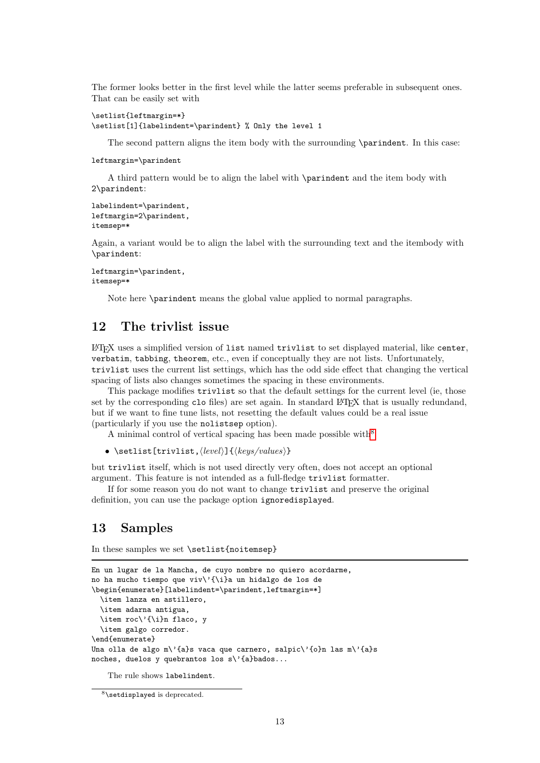The former looks better in the first level while the latter seems preferable in subsequent ones. That can be easily set with

```
\setlist{leftmargin=*}
\setlist[1]{labelindent=\parindent} % Only the level 1
```
The second pattern aligns the item body with the surrounding \parindent. In this case:

leftmargin=\parindent

A third pattern would be to align the label with \parindent and the item body with 2\parindent:

```
labelindent=\parindent,
leftmargin=2\parindent,
itemsep=*
```
Again, a variant would be to align the label with the surrounding text and the itembody with \parindent:

```
leftmargin=\parindent,
itemsep=*
```
Note here \parindent means the global value applied to normal paragraphs.

# 12 The trivlist issue

LATEX uses a simplified version of list named trivlist to set displayed material, like center, verbatim, tabbing, theorem, etc., even if conceptually they are not lists. Unfortunately, trivlist uses the current list settings, which has the odd side effect that changing the vertical spacing of lists also changes sometimes the spacing in these environments.

This package modifies trivlist so that the default settings for the current level (ie, those set by the corresponding clo files) are set again. In standard LAT<sub>EX</sub> that is usually redundand, but if we want to fine tune lists, not resetting the default values could be a real issue (particularly if you use the nolistsep option).

A minimal control of vertical spacing has been made possible with  $8^8$  $8^8$ 

• \setlist[trivlist,\level\]{\\tegs/values\}

but trivlist itself, which is not used directly very often, does not accept an optional argument. This feature is not intended as a full-fledge trivlist formatter.

If for some reason you do not want to change trivlist and preserve the original definition, you can use the package option ignoredisplayed.

# 13 Samples

In these samples we set \setlist{noitemsep}

```
En un lugar de la Mancha, de cuyo nombre no quiero acordarme,
no ha mucho tiempo que viv\'{\i}a un hidalgo de los de
\begin{enumerate}[labelindent=\parindent,leftmargin=*]
  \item lanza en astillero,
  \item adarna antigua,
  \item roc\'{\i}n flaco, y
 \item galgo corredor.
\end{enumerate}
Una olla de algo m\'{a}s vaca que carnero, salpic\'{o}n las m\'{a}s
noches, duelos y quebrantos los s\'{a}bados...
```
The rule shows labelindent.

<span id="page-12-0"></span><sup>8</sup>\setdisplayed is deprecated.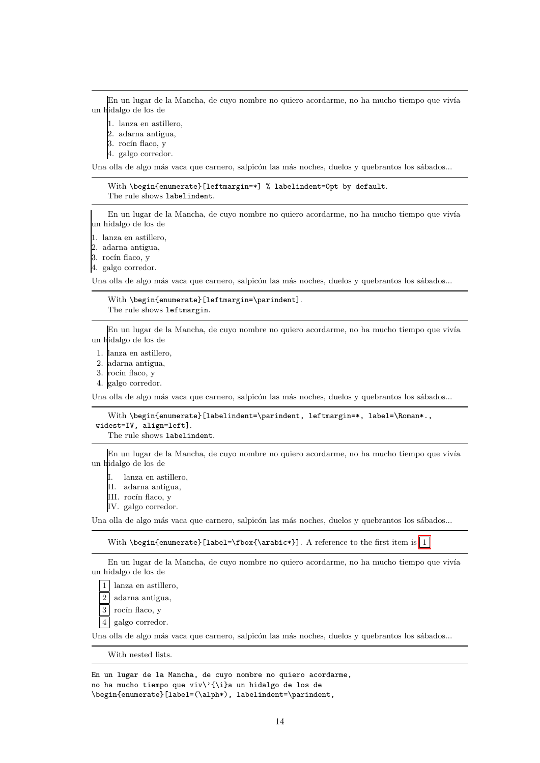En un lugar de la Mancha, de cuyo nombre no quiero acordarme, no ha mucho tiempo que vivía un hidalgo de los de

- 1. lanza en astillero,
- 2. adarna antigua,
- 3. rocín flaco, y
- 4. galgo corredor.

Una olla de algo más vaca que carnero, salpicón las más noches, duelos y quebrantos los sábados...

With \begin{enumerate}[leftmargin=\*] % labelindent=0pt by default. The rule shows labelindent.

En un lugar de la Mancha, de cuyo nombre no quiero acordarme, no ha mucho tiempo que vivía un hidalgo de los de

1. lanza en astillero,

2. adarna antigua,

3. rocín flaco, y

4. galgo corredor.

Una olla de algo más vaca que carnero, salpicón las más noches, duelos y quebrantos los sábados...

With \begin{enumerate}[leftmargin=\parindent]. The rule shows leftmargin.

En un lugar de la Mancha, de cuyo nombre no quiero acordarme, no ha mucho tiempo que vivía un hidalgo de los de

- 1. lanza en astillero,
- 2. adarna antigua,
- 3. rocín flaco, v

4. galgo corredor.

Una olla de algo más vaca que carnero, salpicón las más noches, duelos y quebrantos los sábados...

With \begin{enumerate}[labelindent=\parindent, leftmargin=\*, label=\Roman\*., widest=IV, align=left]. The rule shows labelindent.

En un lugar de la Mancha, de cuyo nombre no quiero acordarme, no ha mucho tiempo que vivía un hidalgo de los de

I. lanza en astillero,

II. adarna antigua,

III. rocín flaco, y

IV. galgo corredor.

Una olla de algo más vaca que carnero, salpicón las más noches, duelos y quebrantos los sábados...

With \begin{enumerate}[label=\fbox{\arabic\*}]. A reference to the first item is  $|1|$  $|1|$  $|1|$ 

En un lugar de la Mancha, de cuyo nombre no quiero acordarme, no ha mucho tiempo que vivía un hidalgo de los de

<span id="page-13-0"></span>1 lanza en astillero,

2 adarna antigua,

 $3$  rocin flaco, y

4 galgo corredor.

Una olla de algo más vaca que carnero, salpicón las más noches, duelos y quebrantos los sábados...

With nested lists.

En un lugar de la Mancha, de cuyo nombre no quiero acordarme, no ha mucho tiempo que viv\'{\i}a un hidalgo de los de \begin{enumerate}[label=(\alph\*), labelindent=\parindent,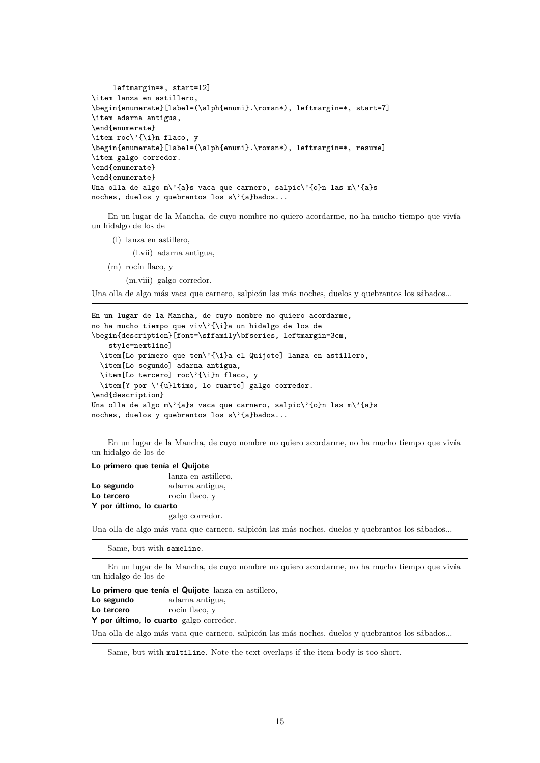```
leftmargin=*, start=12]
\item lanza en astillero,
\begin{enumerate}[label=(\alph{enumi}.\roman*), leftmargin=*, start=7]
\item adarna antigua,
\end{enumerate}
\item roc\'{\i}n flaco, y
\begin{enumerate}[label=(\alph{enumi}.\roman*), leftmargin=*, resume]
\item galgo corredor.
\end{enumerate}
\end{enumerate}
Una olla de algo m\'{a}s vaca que carnero, salpic\'{o}n las m\'{a}s
noches, duelos y quebrantos los s\'{a}bados...
```
En un lugar de la Mancha, de cuyo nombre no quiero acordarme, no ha mucho tiempo que vivía un hidalgo de los de

(l) lanza en astillero,

(l.vii) adarna antigua,

 $(m)$  rocin flaco, y

(m.viii) galgo corredor.

Una olla de algo más vaca que carnero, salpicón las más noches, duelos y quebrantos los sábados...

```
En un lugar de la Mancha, de cuyo nombre no quiero acordarme,
no ha mucho tiempo que viv\'{\i}a un hidalgo de los de
\begin{description}[font=\sffamily\bfseries, leftmargin=3cm,
    style=nextline]
  \item[Lo primero que ten\'{\i}a el Quijote] lanza en astillero,
  \item[Lo segundo] adarna antigua,
  \item[Lo tercero] roc\'{\i}n flaco, y
  \item[Y por \'{u}ltimo, lo cuarto] galgo corredor.
\end{description}
Una olla de algo m\'{a}s vaca que carnero, salpic\'{o}n las m\'{a}s
noches, duelos y quebrantos los s\'{a}bados...
```
En un lugar de la Mancha, de cuyo nombre no quiero acordarme, no ha mucho tiempo que vivía un hidalgo de los de

#### Lo primero que tenía el Quijote

|                         | lanza en astillero, |
|-------------------------|---------------------|
| Lo segundo              | adarna antigua,     |
| Lo tercero              | rocín flaco, v      |
| Y por último, lo cuarto |                     |
|                         | galgo corredor.     |

Una olla de algo más vaca que carnero, salpicón las más noches, duelos y quebrantos los sábados...

Same, but with sameline.

En un lugar de la Mancha, de cuyo nombre no quiero acordarme, no ha mucho tiempo que vivía un hidalgo de los de

Lo primero que tenía el Quijote lanza en astillero, Lo segundo adarna antigua, Lo tercero rocín flaco, y

Y por último, lo cuarto galgo corredor.

Una olla de algo más vaca que carnero, salpicón las más noches, duelos y quebrantos los sábados...

Same, but with multiline. Note the text overlaps if the item body is too short.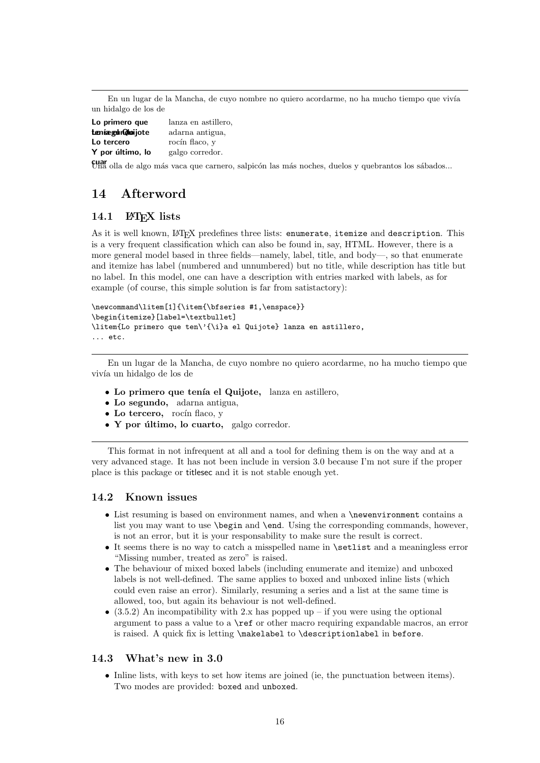En un lugar de la Mancha, de cuyo nombre no quiero acordarme, no ha mucho tiempo que vivía un hidalgo de los de

| Lo primero que   | lanza en astillero, |  |
|------------------|---------------------|--|
| teníægun@loijote | adarna antigua,     |  |
| Lo tercero       | rocín flaco, v      |  |
| Y por último, lo | galgo corredor.     |  |

cuar<br>Una olla de algo más vaca que carnero, salpicón las más noches, duelos y quebrantos los sábados...

# 14 Afterword

## 14.1 LAT<sub>EX</sub> lists

As it is well known, LATEX predefines three lists: enumerate, itemize and description. This is a very frequent classification which can also be found in, say, HTML. However, there is a more general model based in three fields—namely, label, title, and body—, so that enumerate and itemize has label (numbered and unnumbered) but no title, while description has title but no label. In this model, one can have a description with entries marked with labels, as for example (of course, this simple solution is far from satistactory):

```
\newcommand\litem[1]{\item{\bfseries #1,\enspace}}
\begin{itemize}[label=\textbullet]
\litem{Lo primero que ten\'{\i}a el Quijote} lanza en astillero,
... etc.
```
En un lugar de la Mancha, de cuyo nombre no quiero acordarme, no ha mucho tiempo que vivía un hidalgo de los de

- Lo primero que tenía el Quijote, lanza en astillero,
- Lo segundo, adarna antigua,
- Lo tercero, rocín flaco, y
- Y por **último**, lo cuarto, galgo corredor.

This format in not infrequent at all and a tool for defining them is on the way and at a very advanced stage. It has not been include in version 3.0 because I'm not sure if the proper place is this package or titlesec and it is not stable enough yet.

## 14.2 Known issues

- List resuming is based on environment names, and when a \newenvironment contains a list you may want to use \begin and \end. Using the corresponding commands, however, is not an error, but it is your responsability to make sure the result is correct.
- It seems there is no way to catch a misspelled name in \setlist and a meaningless error "Missing number, treated as zero" is raised.
- The behaviour of mixed boxed labels (including enumerate and itemize) and unboxed labels is not well-defined. The same applies to boxed and unboxed inline lists (which could even raise an error). Similarly, resuming a series and a list at the same time is allowed, too, but again its behaviour is not well-defined.
- (3.5.2) An incompatibility with 2.x has popped up if you were using the optional argument to pass a value to a \ref or other macro requiring expandable macros, an error is raised. A quick fix is letting \makelabel to \descriptionlabel in before.

## 14.3 What's new in 3.0

• Inline lists, with keys to set how items are joined (ie, the punctuation between items). Two modes are provided: boxed and unboxed.